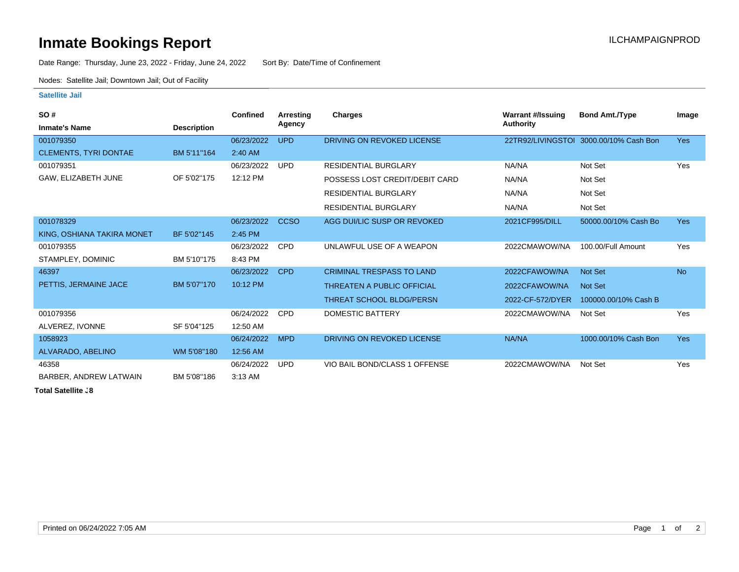## **Inmate Bookings Report Inmate Bookings Report**

Date Range: Thursday, June 23, 2022 - Friday, June 24, 2022 Sort By: Date/Time of Confinement

Nodes: Satellite Jail; Downtown Jail; Out of Facility

## **Satellite Jail**

| SO#                          |                    | <b>Confined</b> | Arresting   | <b>Charges</b>                    | Warrant #/Issuing | <b>Bond Amt./Type</b>                  | Image      |
|------------------------------|--------------------|-----------------|-------------|-----------------------------------|-------------------|----------------------------------------|------------|
| <b>Inmate's Name</b>         | <b>Description</b> |                 | Agency      |                                   | <b>Authority</b>  |                                        |            |
| 001079350                    |                    | 06/23/2022      | <b>UPD</b>  | DRIVING ON REVOKED LICENSE        |                   | 22TR92/LIVINGSTOI 3000.00/10% Cash Bon | <b>Yes</b> |
| <b>CLEMENTS, TYRI DONTAE</b> | BM 5'11"164        | 2:40 AM         |             |                                   |                   |                                        |            |
| 001079351                    |                    | 06/23/2022      | <b>UPD</b>  | <b>RESIDENTIAL BURGLARY</b>       | NA/NA             | Not Set                                | Yes        |
| GAW, ELIZABETH JUNE          | OF 5'02"175        | 12:12 PM        |             | POSSESS LOST CREDIT/DEBIT CARD    | NA/NA             | Not Set                                |            |
|                              |                    |                 |             | <b>RESIDENTIAL BURGLARY</b>       | NA/NA             | Not Set                                |            |
|                              |                    |                 |             | <b>RESIDENTIAL BURGLARY</b>       | NA/NA             | Not Set                                |            |
| 001078329                    |                    | 06/23/2022      | <b>CCSO</b> | AGG DUI/LIC SUSP OR REVOKED       | 2021CF995/DILL    | 50000.00/10% Cash Bo                   | <b>Yes</b> |
| KING, OSHIANA TAKIRA MONET   | BF 5'02"145        | 2:45 PM         |             |                                   |                   |                                        |            |
| 001079355                    |                    | 06/23/2022      | <b>CPD</b>  | UNLAWFUL USE OF A WEAPON          | 2022CMAWOW/NA     | 100.00/Full Amount                     | Yes        |
| STAMPLEY, DOMINIC            | BM 5'10"175        | 8:43 PM         |             |                                   |                   |                                        |            |
| 46397                        |                    | 06/23/2022      | <b>CPD</b>  | <b>CRIMINAL TRESPASS TO LAND</b>  | 2022CFAWOW/NA     | <b>Not Set</b>                         | <b>No</b>  |
| PETTIS, JERMAINE JACE        | BM 5'07"170        | 10:12 PM        |             | <b>THREATEN A PUBLIC OFFICIAL</b> | 2022CFAWOW/NA     | <b>Not Set</b>                         |            |
|                              |                    |                 |             | <b>THREAT SCHOOL BLDG/PERSN</b>   | 2022-CF-572/DYER  | 100000.00/10% Cash B                   |            |
| 001079356                    |                    | 06/24/2022      | <b>CPD</b>  | <b>DOMESTIC BATTERY</b>           | 2022CMAWOW/NA     | Not Set                                | Yes        |
| ALVEREZ, IVONNE              | SF 5'04"125        | 12:50 AM        |             |                                   |                   |                                        |            |
| 1058923                      |                    | 06/24/2022      | <b>MPD</b>  | DRIVING ON REVOKED LICENSE        | NA/NA             | 1000.00/10% Cash Bon                   | <b>Yes</b> |
| ALVARADO, ABELINO            | WM 5'08"180        | 12:56 AM        |             |                                   |                   |                                        |            |
| 46358                        |                    | 06/24/2022      | <b>UPD</b>  | VIO BAIL BOND/CLASS 1 OFFENSE     | 2022CMAWOW/NA     | Not Set                                | Yes        |
| BARBER, ANDREW LATWAIN       | BM 5'08"186        | $3:13$ AM       |             |                                   |                   |                                        |            |

**Total Satellite Jail: 8**